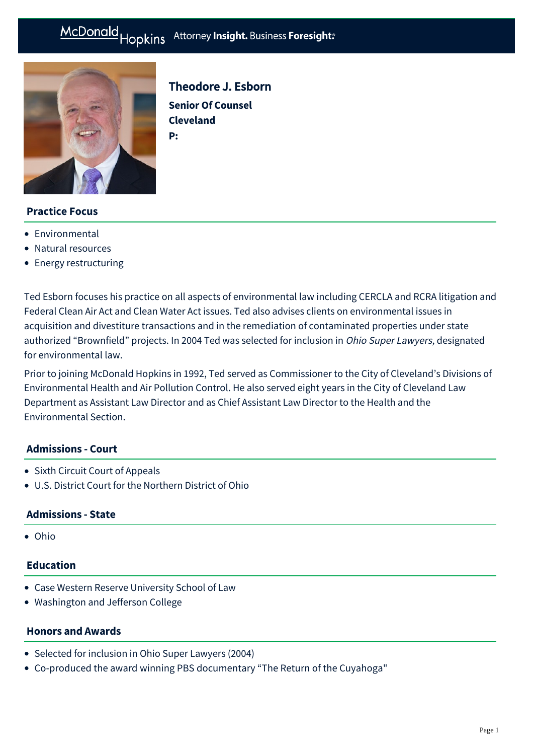# McDonald Hopkins Attorney Insight. Business Foresight:



# Theodore J. Esborn

**Senior Of Counsel Cleveland P:**

# **Practice Focus**

- **•** [Environmental](https://mcdonaldhopkins.com/Expertise/Business-counseling/Environmental)
- [Natural resources](https://mcdonaldhopkins.com/Expertise/Energy/Natural-resources)
- [Energy restructuring](https://mcdonaldhopkins.com/Expertise/Energy/Energy-restructuring)

Ted Esborn focuses his practice on all aspects of environmental law including CERCLA and RCRA litigation and Federal Clean Air Act and Clean Water Act issues. Ted also advises clients on environmental issues in acquisition and divestiture transactions and in the remediation of contaminated properties under state authorized "Brownfield" projects. In 2004 Ted was selected for inclusion in Ohio Super Lawyers, designated for environmental law.

Prior to joining McDonald Hopkins in 1992, Ted served as Commissioner to the City of Cleveland's Divisions of Environmental Health and Air Pollution Control. He also served eight years in the City of Cleveland Law Department as Assistant Law Director and as Chief Assistant Law Director to the Health and the Environmental Section.

#### **Admissions - Court**

- Sixth Circuit Court of Appeals
- U.S. District Court for the Northern District of Ohio

#### **Admissions - State**

Ohio

# **Education**

- Case Western Reserve University School of Law
- Washington and Jefferson College

#### **Honors and Awards**

- Selected for inclusion in Ohio Super Lawyers (2004)
- Co-produced the award winning PBS documentary "The Return of the Cuyahoga"